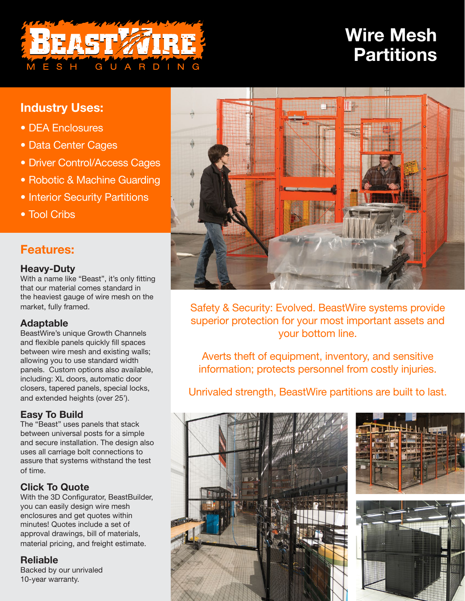# BEAST ZIRE **GUARDING**

# **Wire Mesh Partitions**

# **Industry Uses:**

- DEA Enclosures
- Data Center Cages
- Driver Control/Access Cages
- Robotic & Machine Guarding
- Interior Security Partitions
- Tool Cribs

## **Features:**

#### **Heavy-Duty**

With a name like "Beast", it's only fitting that our material comes standard in the heaviest gauge of wire mesh on the market, fully framed.

#### **Adaptable**

BeastWire's unique Growth Channels and flexible panels quickly fill spaces between wire mesh and existing walls; allowing you to use standard width panels. Custom options also available, including: XL doors, automatic door closers, tapered panels, special locks, and extended heights (over 25').

#### **Easy To Build**

The "Beast" uses panels that stack between universal posts for a simple and secure installation. The design also uses all carriage bolt connections to assure that systems withstand the test of time.

### **Click To Quote**

With the 3D Configurator, BeastBuilder, you can easily design wire mesh enclosures and get quotes within minutes! Quotes include a set of approval drawings, bill of materials, material pricing, and freight estimate.

#### **Reliable**

Backed by our unrivaled 10-year warranty.



Safety & Security: Evolved. BeastWire systems provide superior protection for your most important assets and your bottom line.

Averts theft of equipment, inventory, and sensitive information; protects personnel from costly injuries.

Unrivaled strength, BeastWire partitions are built to last.